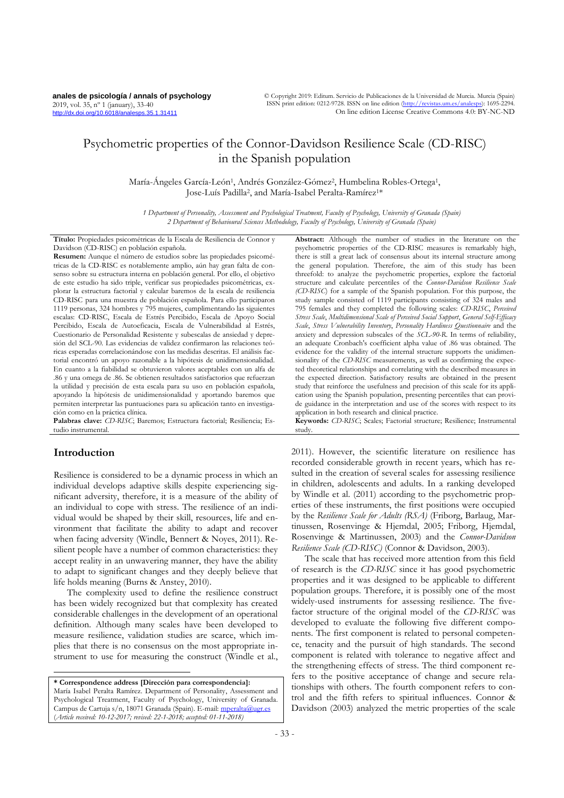**anales de psicología / annals of psychology** 2019, vol. 35, nº 1 (january), 33-40 <http://dx.doi.org/10.6018/analesps.35.1.31411>

© Copyright 2019: Editum. Servicio de Publicaciones de la Universidad de Murcia. Murcia (Spain) ISSN print edition: 0212-9728. ISSN on line edition (http://revistas.um.es/anales On line edition License Creative Commons 4.0: BY-NC-ND

# Psychometric properties of the Connor-Davidson Resilience Scale (CD-RISC) in the Spanish population

María-Ángeles García-León<sup>1</sup>, Andrés González-Gómez<sup>2</sup>, Humbelina Robles-Ortega<sup>1</sup>, Jose-Luís Padilla<sup>2</sup> , and María-Isabel Peralta-Ramírez1\*

*1 Department of Personality, Assessment and Psychological Treatment, Faculty of Psychology, University of Granada (Spain) 2 Department of Behavioural Sciences Methodology, Faculty of Psychology, University of Granada (Spain)*

**Título:** Propiedades psicométricas de la Escala de Resiliencia de Connor y Davidson (CD-RISC) en población española.

**Resumen:** Aunque el número de estudios sobre las propiedades psicométricas de la CD-RISC es notablemente amplio, aún hay gran falta de consenso sobre su estructura interna en población general. Por ello, el objetivo de este estudio ha sido triple, verificar sus propiedades psicométricas, explorar la estructura factorial y calcular baremos de la escala de resiliencia CD-RISC para una muestra de población española. Para ello participaron 1119 personas, 324 hombres y 795 mujeres, cumplimentando las siguientes escalas: CD-RISC, Escala de Estrés Percibido, Escala de Apoyo Social Percibido, Escala de Autoeficacia, Escala de Vulnerabilidad al Estrés, Cuestionario de Personalidad Resistente y subescalas de ansiedad y depresión del SCL-90. Las evidencias de validez confirmaron las relaciones teóricas esperadas correlacionándose con las medidas descritas. El análisis factorial encontró un apoyo razonable a la hipótesis de unidimensionalidad. En cuanto a la fiabilidad se obtuvieron valores aceptables con un alfa de .86 y una omega de .86. Se obtienen resultados satisfactorios que refuerzan la utilidad y precisión de esta escala para su uso en población española, apoyando la hipótesis de unidimensionalidad y aportando baremos que permiten interpretar las puntuaciones para su aplicación tanto en investigación como en la práctica clínica.

**Palabras clave:** *CD-RISC*; Baremos; Estructura factorial; Resiliencia; Estudio instrumental.

# **Introduction**

 $\overline{a}$ 

Resilience is considered to be a dynamic process in which an individual develops adaptive skills despite experiencing significant adversity, therefore, it is a measure of the ability of an individual to cope with stress. The resilience of an individual would be shaped by their skill, resources, life and environment that facilitate the ability to adapt and recover when facing adversity (Windle, Bennert & Noyes, 2011). Resilient people have a number of common characteristics: they accept reality in an unwavering manner, they have the ability to adapt to significant changes and they deeply believe that life holds meaning (Burns & Anstey, 2010).

The complexity used to define the resilience construct has been widely recognized but that complexity has created considerable challenges in the development of an operational definition. Although many scales have been developed to measure resilience, validation studies are scarce, which implies that there is no consensus on the most appropriate instrument to use for measuring the construct (Windle et al.,

**\* Correspondence address [Dirección para correspondencia]:** María Isabel Peralta Ramírez. Department of Personality, Assessment and Psychological Treatment, Faculty of Psychology, University of Granada. Campus de Cartuja s/n, 18071 Granada (Spain). E-mail[: mperalta@ugr.es](mailto:mperalta@ugr.es) (*Article received: 10-12-2017; revised: 22-1-2018; accepted: 01-11-2018)*

**Abstract:** Although the number of studies in the literature on the psychometric properties of the CD-RISC measures is remarkably high, there is still a great lack of consensus about its internal structure among the general population. Therefore, the aim of this study has been threefold: to analyze the psychometric properties, explore the factorial structure and calculate percentiles of the *Connor-Davidson Resilience Scale (CD-RISC*) for a sample of the Spanish population. For this purpose, the study sample consisted of 1119 participants consisting of 324 males and 795 females and they completed the following scales: *CD-RISC*, *Perceived Stress Scale*, *Multidimensional Scale of Perceived Social Support*, *General Self-Efficacy Scale*, *Stress Vulnerability Inventory*, *Personality Hardiness Questionnaire* and the anxiety and depression subscales of the *SCL-90-R*. In terms of reliability, an adequate Cronbach's coefficient alpha value of .86 was obtained. The evidence for the validity of the internal structure supports the unidimensionality of the *CD-RISC* measurements, as well as confirming the expected theoretical relationships and correlating with the described measures in the expected direction. Satisfactory results are obtained in the present study that reinforce the usefulness and precision of this scale for its application using the Spanish population, presenting percentiles that can provide guidance in the interpretation and use of the scores with respect to its application in both research and clinical practice.

**Keywords:** *CD-RISC*; Scales; Factorial structure; Resilience; Instrumental study.

2011). However, the scientific literature on resilience has recorded considerable growth in recent years, which has resulted in the creation of several scales for assessing resilience in children, adolescents and adults. In a ranking developed by Windle et al. (2011) according to the psychometric properties of these instruments, the first positions were occupied by the *Resilience Scale for Adults (RSA)* (Friborg, Barlaug, Martinussen, Rosenvinge & Hjemdal, 2005; Friborg, Hjemdal, Rosenvinge & Martinussen, 2003) and the *Connor-Davidson Resilience Scale (CD-RISC)* (Connor & Davidson, 2003).

The scale that has received more attention from this field of research is the *CD-RISC* since it has good psychometric properties and it was designed to be applicable to different population groups. Therefore, it is possibly one of the most widely-used instruments for assessing resilience. The fivefactor structure of the original model of the *CD-RISC* was developed to evaluate the following five different components. The first component is related to personal competence, tenacity and the pursuit of high standards. The second component is related with tolerance to negative affect and the strengthening effects of stress. The third component refers to the positive acceptance of change and secure relationships with others. The fourth component refers to control and the fifth refers to spiritual influences. Connor & Davidson (2003) analyzed the metric properties of the scale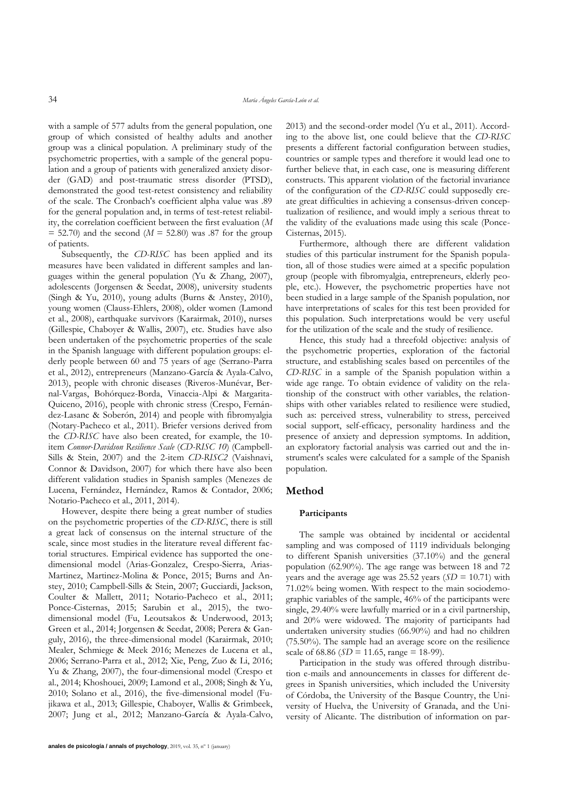with a sample of 577 adults from the general population, one group of which consisted of healthy adults and another group was a clinical population. A preliminary study of the psychometric properties, with a sample of the general population and a group of patients with generalized anxiety disorder (GAD) and post-traumatic stress disorder (PTSD), demonstrated the good test-retest consistency and reliability of the scale. The Cronbach's coefficient alpha value was .89 for the general population and, in terms of test-retest reliability, the correlation coefficient between the first evaluation (*M*  $= 52.70$ ) and the second ( $M = 52.80$ ) was .87 for the group of patients.

Subsequently, the *CD-RISC* has been applied and its measures have been validated in different samples and languages within the general population (Yu & Zhang, 2007), adolescents (Jorgensen & Seedat, 2008), university students (Singh & Yu, 2010), young adults (Burns & Anstey, 2010), young women (Clauss-Ehlers, 2008), older women (Lamond et al., 2008), earthquake survivors (Karairmak, 2010), nurses (Gillespie, Chaboyer & Wallis, 2007), etc. Studies have also been undertaken of the psychometric properties of the scale in the Spanish language with different population groups: elderly people between 60 and 75 years of age (Serrano-Parra et al., 2012), entrepreneurs (Manzano-García & Ayala-Calvo, 2013), people with chronic diseases (Riveros-Munévar, Bernal-Vargas, Bohórquez-Borda, Vinaccia-Alpi & Margarita-Quiceno, 2016), people with chronic stress (Crespo, Fernández-Lasanc & Soberón, 2014) and people with fibromyalgia (Notary-Pacheco et al., 2011). Briefer versions derived from the *CD-RISC* have also been created, for example, the 10 item *Connor-Davidson Resilience Scale* (*CD-RISC 10*) (Campbell-Sills & Stein, 2007) and the 2-item *CD-RISC2* (Vaishnavi, Connor & Davidson, 2007) for which there have also been different validation studies in Spanish samples (Menezes de Lucena, Fernández, Hernández, Ramos & Contador, 2006; Notario-Pacheco et al., 2011, 2014).

However, despite there being a great number of studies on the psychometric properties of the *CD-RISC*, there is still a great lack of consensus on the internal structure of the scale, since most studies in the literature reveal different factorial structures. Empirical evidence has supported the onedimensional model (Arias-Gonzalez, Crespo-Sierra, Arias-Martinez, Martinez-Molina & Ponce, 2015; Burns and Anstey, 2010; Campbell-Sills & Stein, 2007; Gucciardi, Jackson, Coulter & Mallett, 2011; Notario-Pacheco et al., 2011; Ponce-Cisternas, 2015; Sarubin et al., 2015), the twodimensional model (Fu, Leoutsakos & Underwood, 2013; Green et al., 2014; Jorgensen & Seedat, 2008; Perera & Ganguly, 2016), the three-dimensional model (Karairmak, 2010; Mealer, Schmiege & Meek 2016; Menezes de Lucena et al., 2006; Serrano-Parra et al., 2012; Xie, Peng, Zuo & Li, 2016; Yu & Zhang, 2007), the four-dimensional model (Crespo et al., 2014; Khoshouei, 2009; Lamond et al., 2008; Singh & Yu, 2010; Solano et al., 2016), the five-dimensional model (Fujikawa et al., 2013; Gillespie, Chaboyer, Wallis & Grimbeek, 2007; Jung et al., 2012; Manzano-García & Ayala-Calvo, 2013) and the second-order model (Yu et al., 2011). According to the above list, one could believe that the *CD-RISC* presents a different factorial configuration between studies, countries or sample types and therefore it would lead one to further believe that, in each case, one is measuring different constructs. This apparent violation of the factorial invariance of the configuration of the *CD-RISC* could supposedly create great difficulties in achieving a consensus-driven conceptualization of resilience, and would imply a serious threat to the validity of the evaluations made using this scale (Ponce-Cisternas, 2015).

Furthermore, although there are different validation studies of this particular instrument for the Spanish population, all of those studies were aimed at a specific population group (people with fibromyalgia, entrepreneurs, elderly people, etc.). However, the psychometric properties have not been studied in a large sample of the Spanish population, nor have interpretations of scales for this test been provided for this population. Such interpretations would be very useful for the utilization of the scale and the study of resilience.

Hence, this study had a threefold objective: analysis of the psychometric properties, exploration of the factorial structure, and establishing scales based on percentiles of the *CD-RISC* in a sample of the Spanish population within a wide age range. To obtain evidence of validity on the relationship of the construct with other variables, the relationships with other variables related to resilience were studied, such as: perceived stress, vulnerability to stress, perceived social support, self-efficacy, personality hardiness and the presence of anxiety and depression symptoms. In addition, an exploratory factorial analysis was carried out and the instrument's scales were calculated for a sample of the Spanish population.

## **Method**

#### **Participants**

The sample was obtained by incidental or accidental sampling and was composed of 1119 individuals belonging to different Spanish universities (37.10%) and the general population (62.90%). The age range was between 18 and 72 years and the average age was  $25.52$  years ( $SD = 10.71$ ) with 71.02% being women. With respect to the main sociodemographic variables of the sample, 46% of the participants were single, 29.40% were lawfully married or in a civil partnership, and 20% were widowed. The majority of participants had undertaken university studies (66.90%) and had no children (75.50%). The sample had an average score on the resilience scale of 68.86 (*SD* = 11.65, range = 18-99).

Participation in the study was offered through distribution e-mails and announcements in classes for different degrees in Spanish universities, which included the University of Córdoba, the University of the Basque Country, the University of Huelva, the University of Granada, and the University of Alicante. The distribution of information on par-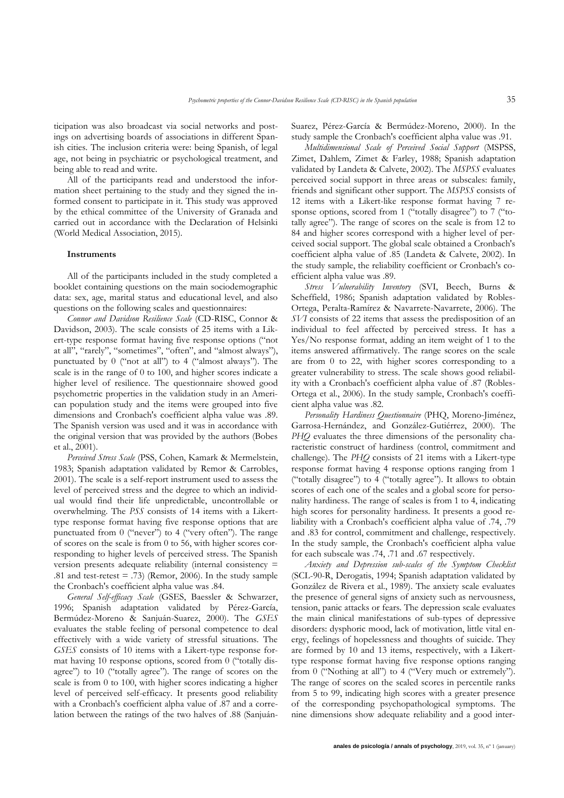ticipation was also broadcast via social networks and postings on advertising boards of associations in different Spanish cities. The inclusion criteria were: being Spanish, of legal age, not being in psychiatric or psychological treatment, and being able to read and write.

All of the participants read and understood the information sheet pertaining to the study and they signed the informed consent to participate in it. This study was approved by the ethical committee of the University of Granada and carried out in accordance with the Declaration of Helsinki (World Medical Association, 2015).

#### **Instruments**

All of the participants included in the study completed a booklet containing questions on the main sociodemographic data: sex, age, marital status and educational level, and also questions on the following scales and questionnaires:

*Connor and Davidson Resilience Scale* (CD-RISC, Connor & Davidson, 2003). The scale consists of 25 items with a Likert-type response format having five response options ("not at all", "rarely", "sometimes", "often", and "almost always"), punctuated by 0 ("not at all") to 4 ("almost always"). The scale is in the range of 0 to 100, and higher scores indicate a higher level of resilience. The questionnaire showed good psychometric properties in the validation study in an American population study and the items were grouped into five dimensions and Cronbach's coefficient alpha value was .89. The Spanish version was used and it was in accordance with the original version that was provided by the authors (Bobes et al., 2001).

*Perceived Stress Scale* (PSS, Cohen, Kamark & Mermelstein, 1983; Spanish adaptation validated by Remor & Carrobles, 2001). The scale is a self-report instrument used to assess the level of perceived stress and the degree to which an individual would find their life unpredictable, uncontrollable or overwhelming. The *PSS* consists of 14 items with a Likerttype response format having five response options that are punctuated from 0 ("never") to 4 ("very often"). The range of scores on the scale is from 0 to 56, with higher scores corresponding to higher levels of perceived stress. The Spanish version presents adequate reliability (internal consistency = .81 and test-retest  $= .73$ ) (Remor, 2006). In the study sample the Cronbach's coefficient alpha value was .84.

*General Self-efficacy Scale* (GSES, Baessler & Schwarzer, 1996; Spanish adaptation validated by Pérez-García, Bermúdez-Moreno & Sanjuán-Suarez, 2000). The *GSES* evaluates the stable feeling of personal competence to deal effectively with a wide variety of stressful situations. The *GSES* consists of 10 items with a Likert-type response format having 10 response options, scored from 0 ("totally disagree") to 10 ("totally agree"). The range of scores on the scale is from 0 to 100, with higher scores indicating a higher level of perceived self-efficacy. It presents good reliability with a Cronbach's coefficient alpha value of .87 and a correlation between the ratings of the two halves of .88 (SanjuánSuarez, Pérez-García & Bermúdez-Moreno, 2000). In the study sample the Cronbach's coefficient alpha value was .91.

*Multidimensional Scale of Perceived Social Support* (MSPSS, Zimet, Dahlem, Zimet & Farley, 1988; Spanish adaptation validated by Landeta & Calvete, 2002). The *MSPSS* evaluates perceived social support in three areas or subscales: family, friends and significant other support. The *MSPSS* consists of 12 items with a Likert-like response format having 7 response options, scored from 1 ("totally disagree") to 7 ("totally agree"). The range of scores on the scale is from 12 to 84 and higher scores correspond with a higher level of perceived social support. The global scale obtained a Cronbach's coefficient alpha value of .85 (Landeta & Calvete, 2002). In the study sample, the reliability coefficient or Cronbach's coefficient alpha value was .89.

*Stress Vulnerability Inventory* (SVI, Beech, Burns & Scheffield, 1986; Spanish adaptation validated by Robles-Ortega, Peralta-Ramírez & Navarrete-Navarrete, 2006). The *SVI* consists of 22 items that assess the predisposition of an individual to feel affected by perceived stress. It has a Yes/No response format, adding an item weight of 1 to the items answered affirmatively. The range scores on the scale are from 0 to 22, with higher scores corresponding to a greater vulnerability to stress. The scale shows good reliability with a Cronbach's coefficient alpha value of .87 (Robles-Ortega et al., 2006). In the study sample, Cronbach's coefficient alpha value was .82.

*Personality Hardiness Questionnaire* (PHQ, Moreno-Jiménez, Garrosa-Hernández, and González-Gutiérrez, 2000). The *PHQ* evaluates the three dimensions of the personality characteristic construct of hardiness (control, commitment and challenge). The *PHQ* consists of 21 items with a Likert-type response format having 4 response options ranging from 1 ("totally disagree") to 4 ("totally agree"). It allows to obtain scores of each one of the scales and a global score for personality hardiness. The range of scales is from 1 to 4, indicating high scores for personality hardiness. It presents a good reliability with a Cronbach's coefficient alpha value of .74, .79 and .83 for control, commitment and challenge, respectively. In the study sample, the Cronbach's coefficient alpha value for each subscale was .74, .71 and .67 respectively.

*Anxiety and Depression sub-scales of the Symptom Checklist* (SCL-90-R, Derogatis, 1994; Spanish adaptation validated by González de Rivera et al., 1989). The anxiety scale evaluates the presence of general signs of anxiety such as nervousness, tension, panic attacks or fears. The depression scale evaluates the main clinical manifestations of sub-types of depressive disorders: dysphoric mood, lack of motivation, little vital energy, feelings of hopelessness and thoughts of suicide. They are formed by 10 and 13 items, respectively, with a Likerttype response format having five response options ranging from 0 ("Nothing at all") to 4 ("Very much or extremely"). The range of scores on the scaled scores in percentile ranks from 5 to 99, indicating high scores with a greater presence of the corresponding psychopathological symptoms. The nine dimensions show adequate reliability and a good inter-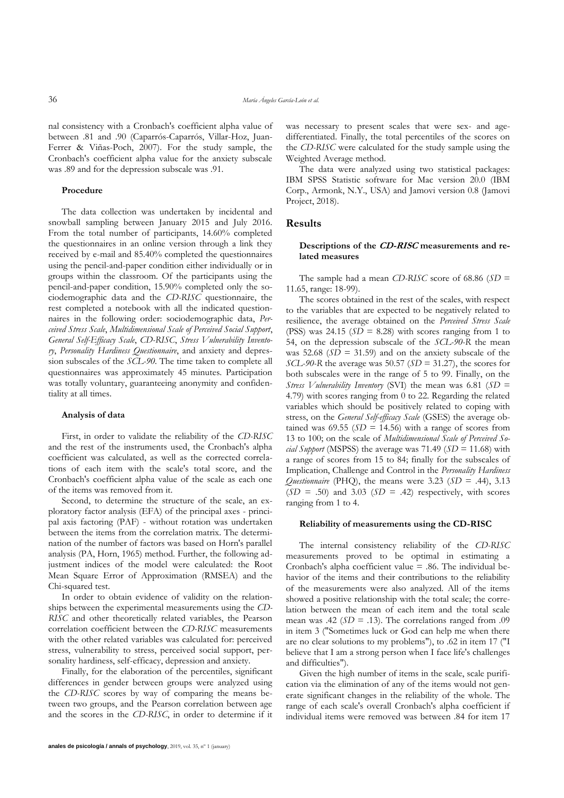nal consistency with a Cronbach's coefficient alpha value of between .81 and .90 (Caparrós-Caparrós, Villar-Hoz, Juan-Ferrer & Viñas-Poch, 2007). For the study sample, the Cronbach's coefficient alpha value for the anxiety subscale was .89 and for the depression subscale was .91.

#### **Procedure**

The data collection was undertaken by incidental and snowball sampling between January 2015 and July 2016. From the total number of participants, 14.60% completed the questionnaires in an online version through a link they received by e-mail and 85.40% completed the questionnaires using the pencil-and-paper condition either individually or in groups within the classroom. Of the participants using the pencil-and-paper condition, 15.90% completed only the sociodemographic data and the *CD-RISC* questionnaire, the rest completed a notebook with all the indicated questionnaires in the following order: sociodemographic data, *Perceived Stress Scale*, *Multidimensional Scale of Perceived Social Support*, *General Self-Efficacy Scale*, *CD-RISC*, *Stress Vulnerability Inventory*, *Personality Hardiness Questionnaire*, and anxiety and depression subscales of the *SCL-90*. The time taken to complete all questionnaires was approximately 45 minutes. Participation was totally voluntary, guaranteeing anonymity and confidentiality at all times.

#### **Analysis of data**

First, in order to validate the reliability of the *CD-RISC*  and the rest of the instruments used, the Cronbach's alpha coefficient was calculated, as well as the corrected correlations of each item with the scale's total score, and the Cronbach's coefficient alpha value of the scale as each one of the items was removed from it.

Second, to determine the structure of the scale, an exploratory factor analysis (EFA) of the principal axes - principal axis factoring (PAF) - without rotation was undertaken between the items from the correlation matrix. The determination of the number of factors was based on Horn's parallel analysis (PA, Horn, 1965) method. Further, the following adjustment indices of the model were calculated: the Root Mean Square Error of Approximation (RMSEA) and the Chi-squared test.

In order to obtain evidence of validity on the relationships between the experimental measurements using the *CD-RISC* and other theoretically related variables, the Pearson correlation coefficient between the *CD-RISC* measurements with the other related variables was calculated for: perceived stress, vulnerability to stress, perceived social support, personality hardiness, self-efficacy, depression and anxiety.

Finally, for the elaboration of the percentiles, significant differences in gender between groups were analyzed using the *CD-RISC* scores by way of comparing the means between two groups, and the Pearson correlation between age and the scores in the *CD-RISC*, in order to determine if it

was necessary to present scales that were sex- and agedifferentiated. Finally, the total percentiles of the scores on the *CD-RISC* were calculated for the study sample using the Weighted Average method.

The data were analyzed using two statistical packages: IBM SPSS Statistic software for Mac version 20.0 (IBM Corp., Armonk, N.Y., USA) and Jamovi version 0.8 (Jamovi Project, 2018).

## **Results**

#### **Descriptions of the CD-RISC measurements and related measures**

The sample had a mean *CD-RISC* score of 68.86 (*SD* = 11.65, range: 18-99).

The scores obtained in the rest of the scales, with respect to the variables that are expected to be negatively related to resilience, the average obtained on the *Perceived Stress Scale* (PSS) was  $24.15$  ( $SD = 8.28$ ) with scores ranging from 1 to 54, on the depression subscale of the *SCL-90-R* the mean was 52.68 ( $SD = 31.59$ ) and on the anxiety subscale of the *SCL-90-R* the average was 50.57 (*SD* = 31.27), the scores for both subscales were in the range of 5 to 99. Finally, on the *Stress Vulnerability Inventory* (SVI) the mean was 6.81 (*SD* = 4.79) with scores ranging from 0 to 22. Regarding the related variables which should be positively related to coping with stress, on the *General Self-efficacy Scale* (GSES) the average obtained was  $69.55$  ( $SD = 14.56$ ) with a range of scores from 13 to 100; on the scale of *Multidimensional Scale of Perceived Social Support* (MSPSS) the average was 71.49 ( $SD = 11.68$ ) with a range of scores from 15 to 84; finally for the subscales of Implication, Challenge and Control in the *Personality Hardiness Questionnaire* (PHQ), the means were 3.23 (*SD* = .44), 3.13  $(SD = .50)$  and 3.03  $(SD = .42)$  respectively, with scores ranging from 1 to 4.

#### **Reliability of measurements using the CD-RISC**

The internal consistency reliability of the *CD-RISC* measurements proved to be optimal in estimating a Cronbach's alpha coefficient value = .86. The individual behavior of the items and their contributions to the reliability of the measurements were also analyzed. All of the items showed a positive relationship with the total scale; the correlation between the mean of each item and the total scale mean was .42 ( $SD = .13$ ). The correlations ranged from .09 in item 3 ("Sometimes luck or God can help me when there are no clear solutions to my problems"), to .62 in item 17 ("I believe that I am a strong person when I face life's challenges and difficulties").

Given the high number of items in the scale, scale purification via the elimination of any of the items would not generate significant changes in the reliability of the whole. The range of each scale's overall Cronbach's alpha coefficient if individual items were removed was between .84 for item 17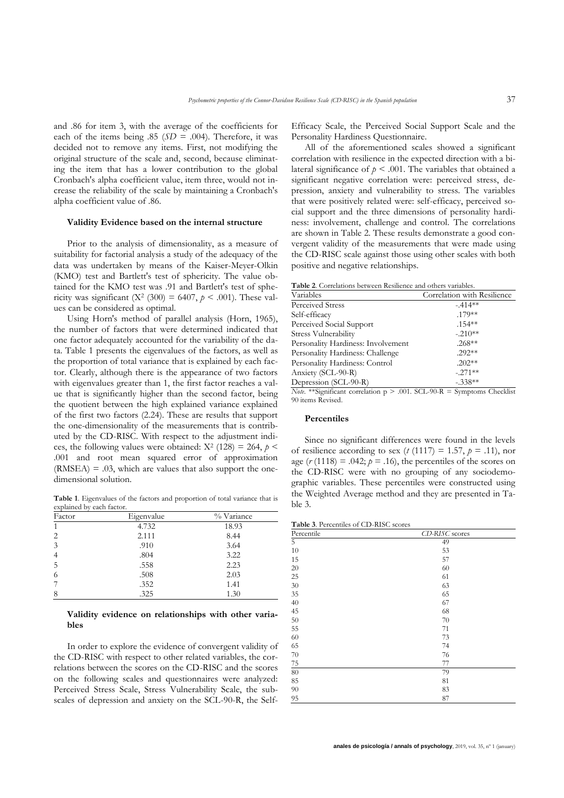and .86 for item 3, with the average of the coefficients for each of the items being  $.85$  ( $SD = .004$ ). Therefore, it was decided not to remove any items. First, not modifying the original structure of the scale and, second, because eliminating the item that has a lower contribution to the global Cronbach's alpha coefficient value, item three, would not increase the reliability of the scale by maintaining a Cronbach's alpha coefficient value of .86.

#### **Validity Evidence based on the internal structure**

Prior to the analysis of dimensionality, as a measure of suitability for factorial analysis a study of the adequacy of the data was undertaken by means of the Kaiser-Meyer-Olkin (KMO) test and Bartlett's test of sphericity. The value obtained for the KMO test was .91 and Bartlett's test of sphericity was significant  $(X^2 (300) = 6407, p < .001)$ . These values can be considered as optimal.

Using Horn's method of parallel analysis (Horn, 1965), the number of factors that were determined indicated that one factor adequately accounted for the variability of the data. Table 1 presents the eigenvalues of the factors, as well as the proportion of total variance that is explained by each factor. Clearly, although there is the appearance of two factors with eigenvalues greater than 1, the first factor reaches a value that is significantly higher than the second factor, being the quotient between the high explained variance explained of the first two factors (2.24). These are results that support the one-dimensionality of the measurements that is contributed by the CD-RISC. With respect to the adjustment indices, the following values were obtained:  $X^2$  (128) = 264,  $p$  < .001 and root mean squared error of approximation  $(RMSEA) = .03$ , which are values that also support the onedimensional solution.

**Table 1**. Eigenvalues of the factors and proportion of total variance that is explained by each factor.

| Factor         | Eigenvalue | % Variance |
|----------------|------------|------------|
| $\mathbf{1}$   | 4.732      | 18.93      |
| 2              | 2.111      | 8.44       |
| 3              | .910       | 3.64       |
| $\overline{4}$ | .804       | 3.22       |
| 5              | .558       | 2.23       |
| 6              | .508       | 2.03       |
|                | .352       | 1.41       |
| 8              | .325       | 1.30       |

#### **Validity evidence on relationships with other variables**

In order to explore the evidence of convergent validity of the CD-RISC with respect to other related variables, the correlations between the scores on the CD-RISC and the scores on the following scales and questionnaires were analyzed: Perceived Stress Scale, Stress Vulnerability Scale, the subscales of depression and anxiety on the SCL-90-R, the SelfEfficacy Scale, the Perceived Social Support Scale and the Personality Hardiness Questionnaire.

All of the aforementioned scales showed a significant correlation with resilience in the expected direction with a bilateral significance of  $p < .001$ . The variables that obtained a significant negative correlation were: perceived stress, depression, anxiety and vulnerability to stress. The variables that were positively related were: self-efficacy, perceived social support and the three dimensions of personality hardiness: involvement, challenge and control. The correlations are shown in Table 2. These results demonstrate a good convergent validity of the measurements that were made using the CD-RISC scale against those using other scales with both positive and negative relationships.

| Table 2. Correlations between Resilience and others variables. |
|----------------------------------------------------------------|
|                                                                |

| Variables                                                                       | Correlation with Resilience |
|---------------------------------------------------------------------------------|-----------------------------|
| Perceived Stress                                                                | $-.414**$                   |
| Self-efficacy                                                                   | $.179***$                   |
| Perceived Social Support                                                        | $.154***$                   |
| Stress Vulnerability                                                            | $-.210**$                   |
| Personality Hardiness: Involvement                                              | $.268**$                    |
| Personality Hardiness: Challenge                                                | $.292**$                    |
| Personality Hardiness: Control                                                  | $.202**$                    |
| Anxiety (SCL-90-R)                                                              | $-.271**$                   |
| Depression (SCL-90-R)                                                           | $-.338**$                   |
| <i>Note</i> **Significant correlation $p > 0.01$ . SCL-90-R = Symptoms Checklis |                             |

*Note.* \*\*Significant correlation p > .001. SCL-90-R = Symptoms Checklist 90 items Revised.

#### **Percentiles**

Since no significant differences were found in the levels of resilience according to sex ( $t$  (1117) = 1.57,  $p = .11$ ), nor age  $(r(1118) = .042; p = .16)$ , the percentiles of the scores on the CD-RISC were with no grouping of any sociodemographic variables. These percentiles were constructed using the Weighted Average method and they are presented in Table 3.

**Table 3**. Percentiles of CD-RISC scores

| Percentile     | CD-RISC scores |
|----------------|----------------|
| $\overline{5}$ | 49             |
| 10             | 53             |
| 15             | 57             |
| 20             | 60             |
| 25             | 61             |
| 30             | 63             |
| 35             | 65             |
| 40             | 67             |
| 45             | 68             |
| $50\,$         | 70             |
| 55             | 71             |
| 60             | 73             |
| 65             | 74             |
| 70             | 76             |
| $75\,$         | 77             |
| 80             | 79             |
| 85             | 81             |
| 90             | 83             |
| 95             | 87             |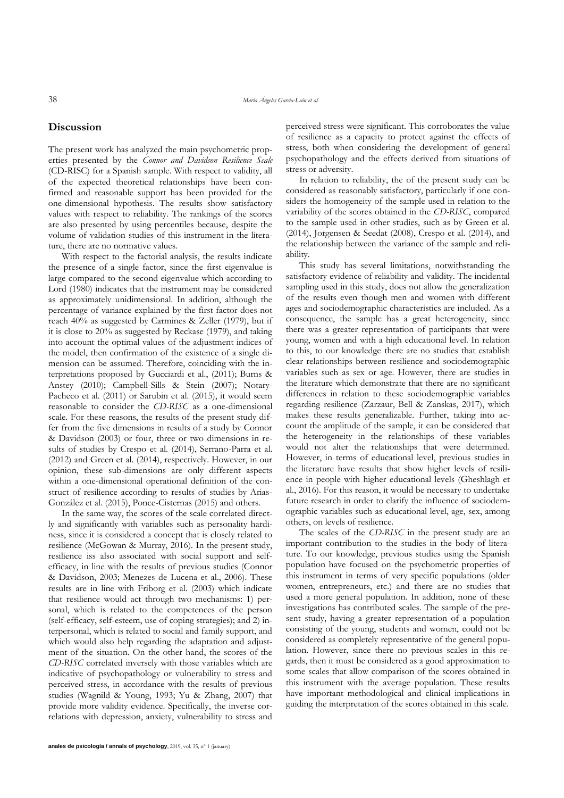## **Discussion**

The present work has analyzed the main psychometric properties presented by the *Connor and Davidson Resilience Scale* (CD-RISC) for a Spanish sample. With respect to validity, all of the expected theoretical relationships have been confirmed and reasonable support has been provided for the one-dimensional hypothesis. The results show satisfactory values with respect to reliability. The rankings of the scores are also presented by using percentiles because, despite the volume of validation studies of this instrument in the literature, there are no normative values.

With respect to the factorial analysis, the results indicate the presence of a single factor, since the first eigenvalue is large compared to the second eigenvalue which according to Lord (1980) indicates that the instrument may be considered as approximately unidimensional. In addition, although the percentage of variance explained by the first factor does not reach 40% as suggested by Carmines & Zeller (1979), but if it is close to 20% as suggested by Reckase (1979), and taking into account the optimal values of the adjustment indices of the model, then confirmation of the existence of a single dimension can be assumed. Therefore, coinciding with the interpretations proposed by Gucciardi et al., (2011); Burns & Anstey (2010); Campbell-Sills & Stein (2007); Notary-Pacheco et al. (2011) or Sarubin et al. (2015), it would seem reasonable to consider the *CD-RISC* as a one-dimensional scale. For these reasons, the results of the present study differ from the five dimensions in results of a study by Connor & Davidson (2003) or four, three or two dimensions in results of studies by Crespo et al. (2014), Serrano-Parra et al. (2012) and Green et al. (2014), respectively. However, in our opinion, these sub-dimensions are only different aspects within a one-dimensional operational definition of the construct of resilience according to results of studies by Arias-González et al. (2015), Ponce-Cisternas (2015) and others.

In the same way, the scores of the scale correlated directly and significantly with variables such as personality hardiness, since it is considered a concept that is closely related to resilience (McGowan & Murray, 2016). In the present study, resilience iss also associated with social support and selfefficacy, in line with the results of previous studies (Connor & Davidson, 2003; Menezes de Lucena et al., 2006). These results are in line with Friborg et al. (2003) which indicate that resilience would act through two mechanisms: 1) personal, which is related to the competences of the person (self-efficacy, self-esteem, use of coping strategies); and 2) interpersonal, which is related to social and family support, and which would also help regarding the adaptation and adjustment of the situation. On the other hand, the scores of the *CD-RISC* correlated inversely with those variables which are indicative of psychopathology or vulnerability to stress and perceived stress, in accordance with the results of previous studies (Wagnild & Young, 1993; Yu & Zhang, 2007) that provide more validity evidence. Specifically, the inverse correlations with depression, anxiety, vulnerability to stress and perceived stress were significant. This corroborates the value of resilience as a capacity to protect against the effects of stress, both when considering the development of general psychopathology and the effects derived from situations of stress or adversity.

In relation to reliability, the of the present study can be considered as reasonably satisfactory, particularly if one considers the homogeneity of the sample used in relation to the variability of the scores obtained in the *CD-RISC*, compared to the sample used in other studies, such as by Green et al. (2014), Jorgensen & Seedat (2008), Crespo et al. (2014), and the relationship between the variance of the sample and reliability.

This study has several limitations, notwithstanding the satisfactory evidence of reliability and validity. The incidental sampling used in this study, does not allow the generalization of the results even though men and women with different ages and sociodemographic characteristics are included. As a consequence, the sample has a great heterogeneity, since there was a greater representation of participants that were young, women and with a high educational level. In relation to this, to our knowledge there are no studies that establish clear relationships between resilience and sociodemographic variables such as sex or age. However, there are studies in the literature which demonstrate that there are no significant differences in relation to these sociodemographic variables regarding resilience (Zarzaur, Bell & Zanskas, 2017), which makes these results generalizable. Further, taking into account the amplitude of the sample, it can be considered that the heterogeneity in the relationships of these variables would not alter the relationships that were determined. However, in terms of educational level, previous studies in the literature have results that show higher levels of resilience in people with higher educational levels (Gheshlagh et al., 2016). For this reason, it would be necessary to undertake future research in order to clarify the influence of sociodemographic variables such as educational level, age, sex, among others, on levels of resilience.

The scales of the *CD-RISC* in the present study are an important contribution to the studies in the body of literature. To our knowledge, previous studies using the Spanish population have focused on the psychometric properties of this instrument in terms of very specific populations (older women, entrepreneurs, etc.) and there are no studies that used a more general population. In addition, none of these investigations has contributed scales. The sample of the present study, having a greater representation of a population consisting of the young, students and women, could not be considered as completely representative of the general population. However, since there no previous scales in this regards, then it must be considered as a good approximation to some scales that allow comparison of the scores obtained in this instrument with the average population. These results have important methodological and clinical implications in guiding the interpretation of the scores obtained in this scale.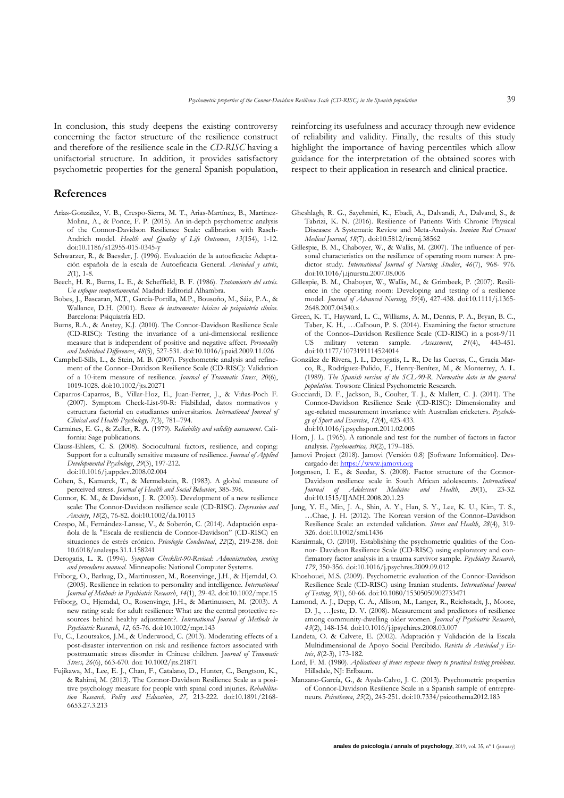In conclusion, this study deepens the existing controversy concerning the factor structure of the resilience construct and therefore of the resilience scale in the *CD-RISC* having a unifactorial structure. In addition, it provides satisfactory psychometric properties for the general Spanish population,

## **References**

- Arias-González, V. B., Crespo-Sierra, M. T., Arias-Martínez, B., Martínez-Molina, A., & Ponce, F. P. (2015). An in-depth psychometric analysis of the Connor-Davidson Resilience Scale: calibration with Rasch-Andrich model. *Health and Quality of Life Outcomes*, *13*(154), 1-12. doi:10.1186/s12955-015-0345-y
- Schwarzer, R., & Baessler, J. (1996). Evaluación de la autoeficacia: Adaptación española de la escala de Autoeficacia General. *Ansiedad y estrés*, *2*(1), 1-8.
- Beech, H. R., Burns, L. E., & Scheffield, B. F. (1986). *Tratamiento del estrés. Un enfoque comportamental.* Madrid: Editorial Alhambra.
- Bobes, J., Bascaran, M.T., García-Portilla, M.P., Bousoño, M., Sáiz, P.A., & Wallance, D.H. (2001). *Banco de instrumentos básicos de psiquiatría clínica*. Barcelona: Psiquiatría ED.
- Burns, R.A., & Anstey, K.J. (2010). The Connor-Davidson Resilience Scale (CD-RISC): Testing the invariance of a uni-dimensional resilience measure that is independent of positive and negative affect. *Personality and Individual Differences*, *48*(5), 527-531. doi:10.1016/j.paid.2009.11.026
- Campbell-Sills, L., & Stein, M. B. (2007). Psychometric analysis and refinement of the Connor–Davidson Resilience Scale (CD-RISC): Validation of a 10-item measure of resilience. *Journal of Traumatic Stress*, *20*(6), 1019-1028. doi:10.1002/jts.20271
- Caparros-Caparros, B., Villar-Hoz, E., Juan-Ferrer, J., & Viñas-Poch F. (2007). Symptom Check-List-90-R: Fiabilidad, datos normativos y estructura factorial en estudiantes universitarios. *International Journal of Clinical and Health Psychology, 7*(3), 781–794.
- Carmines, E. G., & Zeller, R. A. (1979). *Reliability and validity assessment*. California: Sage publications.
- Clauss-Ehlers, C. S. (2008). Sociocultural factors, resilience, and coping: Support for a culturally sensitive measure of resilience. *Journal of Applied Developmental Psychology*, *29*(3), 197-212. doi:10.1016/j.appdev.2008.02.004
- Cohen, S., Kamarck, T., & Mermelstein, R. (1983). A global measure of perceived stress. *Journal of Health and Social Behavior*, 385-396.
- Connor, K. M., & Davidson, J. R. (2003). Development of a new resilience scale: The Connor-Davidson resilience scale (CD-RISC). *Depression and Anxiety*, *18*(2), 76-82. doi:10.1002/da.10113
- Crespo, M., Fernández-Lansac, V., & Soberón, C. (2014). Adaptación española de la "Escala de resiliencia de Connor-Davidson" (CD-RISC) en situaciones de estrés crónico. *Psicología Conductual*, *22*(2), 219-238. doi: 10.6018/analesps.31.1.158241
- Derogatis, L. R. (1994). *Symptom Checklist-90-Revised: Administration, scoring and procedures manual.* Minneapolis: National Computer Systems.
- Friborg, O., Barlaug, D., Martinussen, M., Rosenvinge, J.H., & Hjemdal, O. (2005). Resilience in relation to personality and intelligence. *International Journal of Methods in Psychiatric Research*, *14*(1), 29-42. doi:10.1002/mpr.15
- Friborg, O., Hjemdal, O., Rosenvinge, J.H., & Martinussen, M. (2003). A new rating scale for adult resilience: What are the central protective resources behind healthy adjustment?. *International Journal of Methods in Psychiatric Research*, *12*, 65-76. doi:10.1002/mpr.143
- Fu, C., Leoutsakos, J.M., & Underwood, C. (2013). Moderating effects of a post-disaster intervention on risk and resilience factors associated with posttraumatic stress disorder in Chinese children. J*ournal of Traumatic Stress, 26*(6), 663-670. doi: 10.1002/jts.21871
- Fujikawa, M., Lee, E. J., Chan, F., Catalano, D., Hunter, C., Bengtson, K., & Rahimi, M. (2013). The Connor-Davidson Resilience Scale as a positive psychology measure for people with spinal cord injuries. *Rehabilitation Research, Policy and Education*, *27,* 213-222. doi:10.1891/2168- 6653.27.3.213

reinforcing its usefulness and accuracy through new evidence of reliability and validity. Finally, the results of this study highlight the importance of having percentiles which allow guidance for the interpretation of the obtained scores with respect to their application in research and clinical practice.

- Gheshlagh, R. G., Sayehmiri, K., Ebadi, A., Dalvandi, A., Dalvand, S., & Tabrizi, K. N. (2016). Resilience of Patients With Chronic Physical Diseases: A Systematic Review and Meta-Analysis. *Iranian Red Crescent Medical Journal*, *18*(7). doi:10.5812/ircmj.38562
- Gillespie, B. M., Chaboyer, W., & Wallis, M. (2007). The influence of personal characteristics on the resilience of operating room nurses: A predictor study. *International Journal of Nursing Studies*, *46*(7), 968- 976. doi:10.1016/j.ijnurstu.2007.08.006
- Gillespie, B. M., Chaboyer, W., Wallis, M., & Grimbeek, P. (2007). Resilience in the operating room: Developing and testing of a resilience model. *Journal of Advanced Nursing*, *59*(4), 427-438. doi:10.1111/j.1365- 2648.2007.04340.x
- Green, K. T., Hayward, L. C., Williams, A. M., Dennis, P. A., Bryan, B. C., Taber, K. H., …Calhoun, P. S. (2014). Examining the factor structure of the Connor–Davidson Resilience Scale (CD-RISC) in a post-9/11 US military veteran sample. *Assessment*, *21*(4), 443-451. doi:10.1177/1073191114524014
- González de Rivera, J. L., Derogatis, L. R., De las Cuevas, C., Gracia Marco, R., Rodríguez-Pulido, F., Henry-Benítez, M., & Monterrey, A. L. (1989). *The Spanish version of the SCL-90-R. Normative data in the general population.* Towson: Clinical Psychometric Research.
- Gucciardi, D. F., Jackson, B., Coulter, T. J., & Mallett, C. J. (2011). The Connor-Davidson Resilience Scale (CD-RISC): Dimensionality and age-related measurement invariance with Australian cricketers. *Psychology of Sport and Exercise*, *12*(4), 423-433. doi:10.1016/j.psychsport.2011.02.005
- Horn, J. L. (1965). A rationale and test for the number of factors in factor analysis. *Psychometrica, 30*(2), 179–185.
- Jamovi Project (2018). Jamovi (Versión 0.8) [Software Informático]. Descargado de: [https://www.jamovi.org](https://www.jamovi.org/)
- Jorgensen, I. E., & Seedat, S. (2008). Factor structure of the Connor-Davidson resilience scale in South African adolescents. *International*  of Adolescent Medicine and Health, 20(1), 23-32. doi:10.1515/IJAMH.2008.20.1.23
- Jung, Y. E., Min, J. A., Shin, A. Y., Han, S. Y., Lee, K. U., Kim, T. S., …Chae, J. H. (2012). The Korean version of the Connor–Davidson Resilience Scale: an extended validation. *Stress and Health*, *28*(4), 319- 326. doi:10.1002/smi.1436
- Karairmak, O. (2010). Establishing the psychometric qualities of the Connor- Davidson Resilience Scale (CD-RISC) using exploratory and confirmatory factor analysis in a trauma survivor sample. *Psychiatry Research*, *179*, 350-356. doi:10.1016/j.psychres.2009.09.012
- Khoshouei, M.S. (2009). Psychometric evaluation of the Connor-Davidson Resilience Scale (CD-RISC) using Iranian students. *International Journal of Testing*, *9*(1), 60-66. doi:10.1080/15305050902733471
- Lamond, A. J., Depp, C. A., Allison, M., Langer, R., Reichstadt, J., Moore, D. J., …Jeste, D. V. (2008). Measurement and predictors of resilience among community-dwelling older women. *Journal of Psychiatric Research*, *43*(2), 148-154. doi:10.1016/j.jpsychires.2008.03.007
- Landeta, O. & Calvete, E. (2002). Adaptación y Validación de la Escala Multidimensional de Apoyo Social Percibido. *Revista de Ansiedad y Estrés*, *8*(2-3), 173-182.
- Lord, F. M. (1980). *Aplications of items response theory to practical testing problems.* Hillsdale, NJ: Erlbaum.
- Manzano-García, G., & Ayala-Calvo, J. C. (2013). Psychometric properties of Connor-Davidson Resilience Scale in a Spanish sample of entrepreneurs. *Psicothema*, *25*(2), 245-251. doi:10.7334/psicothema2012.183